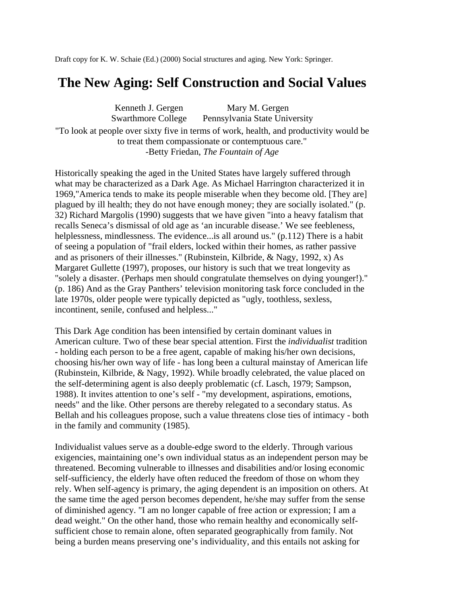Draft copy for K. W. Schaie (Ed.) (2000) Social structures and aging. New York: Springer.

# **The New Aging: Self Construction and Social Values**

Kenneth J. Gergen Kenneth J. Gergen Mary M. Gergen<br>
Swarthmore College Pennsylvania State University "To look at people over sixty five in terms of work, health, and productivity would be to treat them compassionate or contemptuous care." -Betty Friedan, *The Fountain of Age*

Historically speaking the aged in the United States have largely suffered through what may be characterized as a Dark Age. As Michael Harrington characterized it in 1969,"America tends to make its people miserable when they become old. [They are] plagued by ill health; they do not have enough money; they are socially isolated." (p. 32) Richard Margolis (1990) suggests that we have given "into a heavy fatalism that recalls Seneca's dismissal of old age as 'an incurable disease.' We see feebleness, helplessness, mindlessness. The evidence... is all around us." (p.112) There is a habit of seeing a population of "frail elders, locked within their homes, as rather passive and as prisoners of their illnesses." (Rubinstein, Kilbride, & Nagy, 1992, x) As Margaret Gullette (1997), proposes, our history is such that we treat longevity as "solely a disaster. (Perhaps men should congratulate themselves on dying younger!)." (p. 186) And as the Gray Panthers' television monitoring task force concluded in the late 1970s, older people were typically depicted as "ugly, toothless, sexless, incontinent, senile, confused and helpless..."

This Dark Age condition has been intensified by certain dominant values in American culture. Two of these bear special attention. First the *individualist* tradition - holding each person to be a free agent, capable of making his/her own decisions, choosing his/her own way of life - has long been a cultural mainstay of American life (Rubinstein, Kilbride, & Nagy, 1992). While broadly celebrated, the value placed on the self-determining agent is also deeply problematic (cf. Lasch, 1979; Sampson, 1988). It invites attention to one's self - "my development, aspirations, emotions, needs" and the like. Other persons are thereby relegated to a secondary status. As Bellah and his colleagues propose, such a value threatens close ties of intimacy - both in the family and community (1985).

Individualist values serve as a double-edge sword to the elderly. Through various exigencies, maintaining one's own individual status as an independent person may be threatened. Becoming vulnerable to illnesses and disabilities and/or losing economic self-sufficiency, the elderly have often reduced the freedom of those on whom they rely. When self-agency is primary, the aging dependent is an imposition on others. At the same time the aged person becomes dependent, he/she may suffer from the sense of diminished agency. "I am no longer capable of free action or expression; I am a dead weight." On the other hand, those who remain healthy and economically selfsufficient chose to remain alone, often separated geographically from family. Not being a burden means preserving one's individuality, and this entails not asking for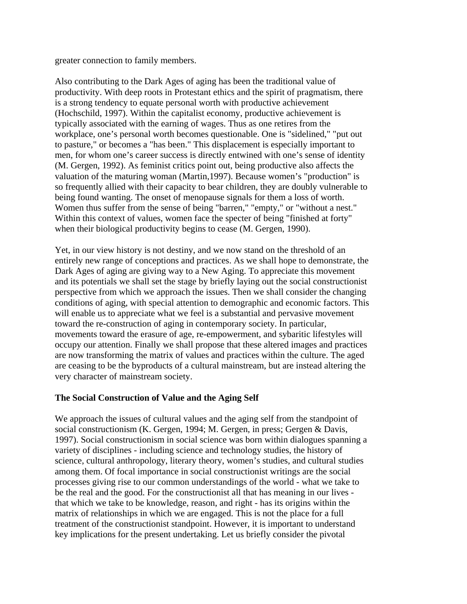greater connection to family members.

Also contributing to the Dark Ages of aging has been the traditional value of productivity. With deep roots in Protestant ethics and the spirit of pragmatism, there is a strong tendency to equate personal worth with productive achievement (Hochschild, 1997). Within the capitalist economy, productive achievement is typically associated with the earning of wages. Thus as one retires from the workplace, one's personal worth becomes questionable. One is "sidelined," "put out to pasture," or becomes a "has been." This displacement is especially important to men, for whom one's career success is directly entwined with one's sense of identity (M. Gergen, 1992). As feminist critics point out, being productive also affects the valuation of the maturing woman (Martin,1997). Because women's "production" is so frequently allied with their capacity to bear children, they are doubly vulnerable to being found wanting. The onset of menopause signals for them a loss of worth. Women thus suffer from the sense of being "barren," "empty," or "without a nest." Within this context of values, women face the specter of being "finished at forty" when their biological productivity begins to cease (M. Gergen, 1990).

Yet, in our view history is not destiny, and we now stand on the threshold of an entirely new range of conceptions and practices. As we shall hope to demonstrate, the Dark Ages of aging are giving way to a New Aging. To appreciate this movement and its potentials we shall set the stage by briefly laying out the social constructionist perspective from which we approach the issues. Then we shall consider the changing conditions of aging, with special attention to demographic and economic factors. This will enable us to appreciate what we feel is a substantial and pervasive movement toward the re-construction of aging in contemporary society. In particular, movements toward the erasure of age, re-empowerment, and sybaritic lifestyles will occupy our attention. Finally we shall propose that these altered images and practices are now transforming the matrix of values and practices within the culture. The aged are ceasing to be the byproducts of a cultural mainstream, but are instead altering the very character of mainstream society.

# **The Social Construction of Value and the Aging Self**

We approach the issues of cultural values and the aging self from the standpoint of social constructionism (K. Gergen, 1994; M. Gergen, in press; Gergen & Davis, 1997). Social constructionism in social science was born within dialogues spanning a variety of disciplines - including science and technology studies, the history of science, cultural anthropology, literary theory, women's studies, and cultural studies among them. Of focal importance in social constructionist writings are the social processes giving rise to our common understandings of the world - what we take to be the real and the good. For the constructionist all that has meaning in our lives that which we take to be knowledge, reason, and right - has its origins within the matrix of relationships in which we are engaged. This is not the place for a full treatment of the constructionist standpoint. However, it is important to understand key implications for the present undertaking. Let us briefly consider the pivotal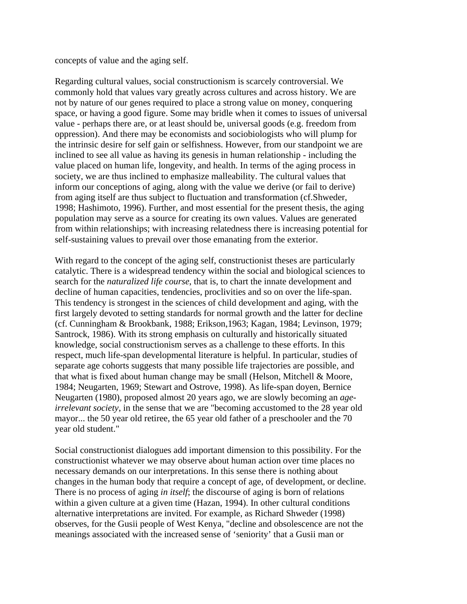concepts of value and the aging self.

Regarding cultural values, social constructionism is scarcely controversial. We commonly hold that values vary greatly across cultures and across history. We are not by nature of our genes required to place a strong value on money, conquering space, or having a good figure. Some may bridle when it comes to issues of universal value - perhaps there are, or at least should be, universal goods (e.g. freedom from oppression). And there may be economists and sociobiologists who will plump for the intrinsic desire for self gain or selfishness. However, from our standpoint we are inclined to see all value as having its genesis in human relationship - including the value placed on human life, longevity, and health. In terms of the aging process in society, we are thus inclined to emphasize malleability. The cultural values that inform our conceptions of aging, along with the value we derive (or fail to derive) from aging itself are thus subject to fluctuation and transformation (cf.Shweder, 1998; Hashimoto, 1996). Further, and most essential for the present thesis, the aging population may serve as a source for creating its own values. Values are generated from within relationships; with increasing relatedness there is increasing potential for self-sustaining values to prevail over those emanating from the exterior.

With regard to the concept of the aging self, constructionist theses are particularly catalytic. There is a widespread tendency within the social and biological sciences to search for the *naturalized life course*, that is, to chart the innate development and decline of human capacities, tendencies, proclivities and so on over the life-span. This tendency is strongest in the sciences of child development and aging, with the first largely devoted to setting standards for normal growth and the latter for decline (cf. Cunningham & Brookbank, 1988; Erikson,1963; Kagan, 1984; Levinson, 1979; Santrock, 1986). With its strong emphasis on culturally and historically situated knowledge, social constructionism serves as a challenge to these efforts. In this respect, much life-span developmental literature is helpful. In particular, studies of separate age cohorts suggests that many possible life trajectories are possible, and that what is fixed about human change may be small (Helson, Mitchell & Moore, 1984; Neugarten, 1969; Stewart and Ostrove, 1998). As life-span doyen, Bernice Neugarten (1980), proposed almost 20 years ago, we are slowly becoming an *ageirrelevant society*, in the sense that we are "becoming accustomed to the 28 year old mayor... the 50 year old retiree, the 65 year old father of a preschooler and the 70 year old student."

Social constructionist dialogues add important dimension to this possibility. For the constructionist whatever we may observe about human action over time places no necessary demands on our interpretations. In this sense there is nothing about changes in the human body that require a concept of age, of development, or decline. There is no process of aging *in itself*; the discourse of aging is born of relations within a given culture at a given time (Hazan, 1994). In other cultural conditions alternative interpretations are invited. For example, as Richard Shweder (1998) observes, for the Gusii people of West Kenya, "decline and obsolescence are not the meanings associated with the increased sense of 'seniority' that a Gusii man or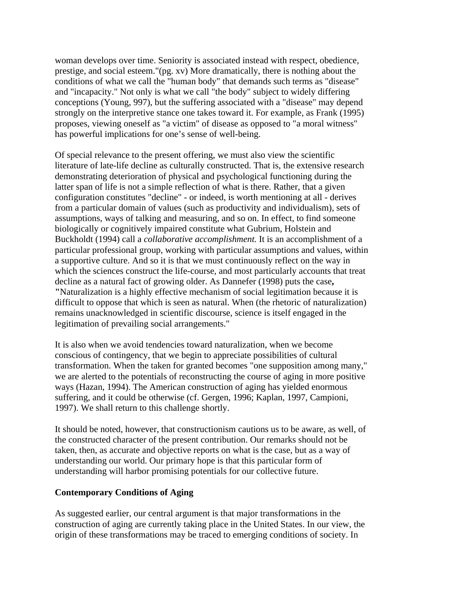woman develops over time. Seniority is associated instead with respect, obedience, prestige, and social esteem."(pg. xv) More dramatically, there is nothing about the conditions of what we call the "human body" that demands such terms as "disease" and "incapacity." Not only is what we call "the body" subject to widely differing conceptions (Young, 997), but the suffering associated with a "disease" may depend strongly on the interpretive stance one takes toward it. For example, as Frank (1995) proposes, viewing oneself as "a victim" of disease as opposed to "a moral witness" has powerful implications for one's sense of well-being.

Of special relevance to the present offering, we must also view the scientific literature of late-life decline as culturally constructed. That is, the extensive research demonstrating deterioration of physical and psychological functioning during the latter span of life is not a simple reflection of what is there. Rather, that a given configuration constitutes "decline" - or indeed, is worth mentioning at all - derives from a particular domain of values (such as productivity and individualism), sets of assumptions, ways of talking and measuring, and so on. In effect, to find someone biologically or cognitively impaired constitute what Gubrium, Holstein and Buckholdt (1994) call a *collaborative accomplishment.* It is an accomplishment of a particular professional group, working with particular assumptions and values, within a supportive culture. And so it is that we must continuously reflect on the way in which the sciences construct the life-course, and most particularly accounts that treat decline as a natural fact of growing older. As Dannefer (1998) puts the case**, "**Naturalization is a highly effective mechanism of social legitimation because it is difficult to oppose that which is seen as natural. When (the rhetoric of naturalization) remains unacknowledged in scientific discourse, science is itself engaged in the legitimation of prevailing social arrangements."

It is also when we avoid tendencies toward naturalization, when we become conscious of contingency, that we begin to appreciate possibilities of cultural transformation. When the taken for granted becomes "one supposition among many," we are alerted to the potentials of reconstructing the course of aging in more positive ways (Hazan, 1994). The American construction of aging has yielded enormous suffering, and it could be otherwise (cf. Gergen, 1996; Kaplan, 1997, Campioni, 1997). We shall return to this challenge shortly.

It should be noted, however, that constructionism cautions us to be aware, as well, of the constructed character of the present contribution. Our remarks should not be taken, then, as accurate and objective reports on what is the case, but as a way of understanding our world. Our primary hope is that this particular form of understanding will harbor promising potentials for our collective future.

# **Contemporary Conditions of Aging**

As suggested earlier, our central argument is that major transformations in the construction of aging are currently taking place in the United States. In our view, the origin of these transformations may be traced to emerging conditions of society. In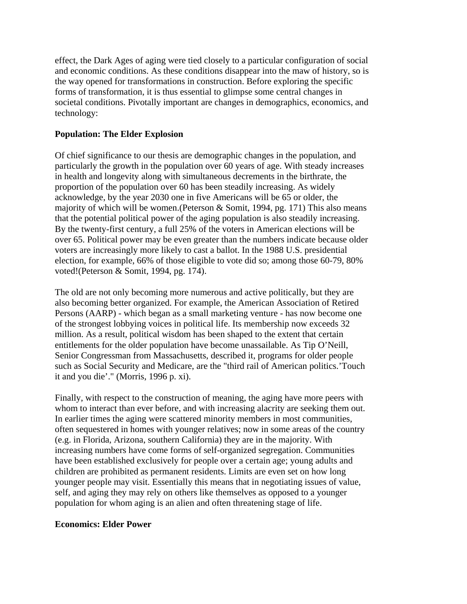effect, the Dark Ages of aging were tied closely to a particular configuration of social and economic conditions. As these conditions disappear into the maw of history, so is the way opened for transformations in construction. Before exploring the specific forms of transformation, it is thus essential to glimpse some central changes in societal conditions. Pivotally important are changes in demographics, economics, and technology:

# **Population: The Elder Explosion**

Of chief significance to our thesis are demographic changes in the population, and particularly the growth in the population over 60 years of age. With steady increases in health and longevity along with simultaneous decrements in the birthrate, the proportion of the population over 60 has been steadily increasing. As widely acknowledge, by the year 2030 one in five Americans will be 65 or older, the majority of which will be women.(Peterson & Somit, 1994, pg. 171) This also means that the potential political power of the aging population is also steadily increasing. By the twenty-first century, a full 25% of the voters in American elections will be over 65. Political power may be even greater than the numbers indicate because older voters are increasingly more likely to cast a ballot. In the 1988 U.S. presidential election, for example, 66% of those eligible to vote did so; among those 60-79, 80% voted!(Peterson & Somit, 1994, pg. 174).

The old are not only becoming more numerous and active politically, but they are also becoming better organized. For example, the American Association of Retired Persons (AARP) - which began as a small marketing venture - has now become one of the strongest lobbying voices in political life. Its membership now exceeds 32 million. As a result, political wisdom has been shaped to the extent that certain entitlements for the older population have become unassailable. As Tip O'Neill, Senior Congressman from Massachusetts, described it, programs for older people such as Social Security and Medicare, are the "third rail of American politics.'Touch it and you die'." (Morris, 1996 p. xi).

Finally, with respect to the construction of meaning, the aging have more peers with whom to interact than ever before, and with increasing alacrity are seeking them out. In earlier times the aging were scattered minority members in most communities, often sequestered in homes with younger relatives; now in some areas of the country (e.g. in Florida, Arizona, southern California) they are in the majority. With increasing numbers have come forms of self-organized segregation. Communities have been established exclusively for people over a certain age; young adults and children are prohibited as permanent residents. Limits are even set on how long younger people may visit. Essentially this means that in negotiating issues of value, self, and aging they may rely on others like themselves as opposed to a younger population for whom aging is an alien and often threatening stage of life.

# **Economics: Elder Power**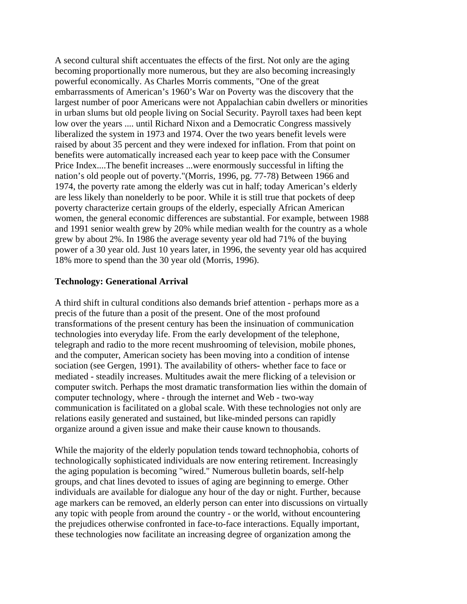A second cultural shift accentuates the effects of the first. Not only are the aging becoming proportionally more numerous, but they are also becoming increasingly powerful economically. As Charles Morris comments, "One of the great embarrassments of American's 1960's War on Poverty was the discovery that the largest number of poor Americans were not Appalachian cabin dwellers or minorities in urban slums but old people living on Social Security. Payroll taxes had been kept low over the years .... until Richard Nixon and a Democratic Congress massively liberalized the system in 1973 and 1974. Over the two years benefit levels were raised by about 35 percent and they were indexed for inflation. From that point on benefits were automatically increased each year to keep pace with the Consumer Price Index....The benefit increases ...were enormously successful in lifting the nation's old people out of poverty."(Morris, 1996, pg. 77-78) Between 1966 and 1974, the poverty rate among the elderly was cut in half; today American's elderly are less likely than nonelderly to be poor. While it is still true that pockets of deep poverty characterize certain groups of the elderly, especially African American women, the general economic differences are substantial. For example, between 1988 and 1991 senior wealth grew by 20% while median wealth for the country as a whole grew by about 2%. In 1986 the average seventy year old had 71% of the buying power of a 30 year old. Just 10 years later, in 1996, the seventy year old has acquired 18% more to spend than the 30 year old (Morris, 1996).

# **Technology: Generational Arrival**

A third shift in cultural conditions also demands brief attention - perhaps more as a precis of the future than a posit of the present. One of the most profound transformations of the present century has been the insinuation of communication technologies into everyday life. From the early development of the telephone, telegraph and radio to the more recent mushrooming of television, mobile phones, and the computer, American society has been moving into a condition of intense sociation (see Gergen, 1991). The availability of others- whether face to face or mediated - steadily increases. Multitudes await the mere flicking of a television or computer switch. Perhaps the most dramatic transformation lies within the domain of computer technology, where - through the internet and Web - two-way communication is facilitated on a global scale. With these technologies not only are relations easily generated and sustained, but like-minded persons can rapidly organize around a given issue and make their cause known to thousands.

While the majority of the elderly population tends toward technophobia, cohorts of technologically sophisticated individuals are now entering retirement. Increasingly the aging population is becoming "wired." Numerous bulletin boards, self-help groups, and chat lines devoted to issues of aging are beginning to emerge. Other individuals are available for dialogue any hour of the day or night. Further, because age markers can be removed, an elderly person can enter into discussions on virtually any topic with people from around the country - or the world, without encountering the prejudices otherwise confronted in face-to-face interactions. Equally important, these technologies now facilitate an increasing degree of organization among the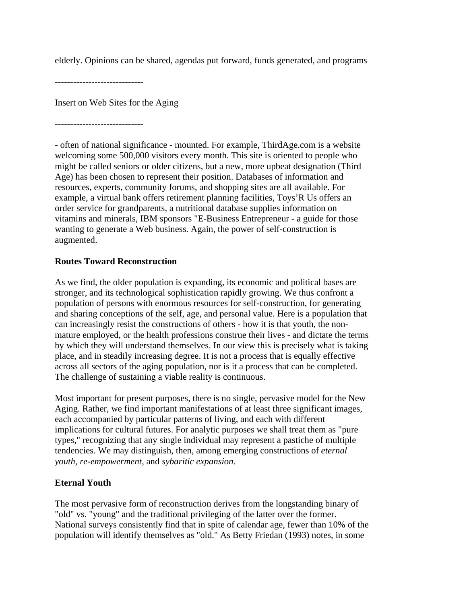elderly. Opinions can be shared, agendas put forward, funds generated, and programs

-----------------------------

Insert on Web Sites for the Aging

-----------------------------

- often of national significance - mounted. For example, ThirdAge.com is a website welcoming some 500,000 visitors every month. This site is oriented to people who might be called seniors or older citizens, but a new, more upbeat designation (Third Age) has been chosen to represent their position. Databases of information and resources, experts, community forums, and shopping sites are all available. For example, a virtual bank offers retirement planning facilities, Toys'R Us offers an order service for grandparents, a nutritional database supplies information on vitamins and minerals, IBM sponsors "E-Business Entrepreneur - a guide for those wanting to generate a Web business. Again, the power of self-construction is augmented.

# **Routes Toward Reconstruction**

As we find, the older population is expanding, its economic and political bases are stronger, and its technological sophistication rapidly growing. We thus confront a population of persons with enormous resources for self-construction, for generating and sharing conceptions of the self, age, and personal value. Here is a population that can increasingly resist the constructions of others - how it is that youth, the nonmature employed, or the health professions construe their lives - and dictate the terms by which they will understand themselves. In our view this is precisely what is taking place, and in steadily increasing degree. It is not a process that is equally effective across all sectors of the aging population, nor is it a process that can be completed. The challenge of sustaining a viable reality is continuous.

Most important for present purposes, there is no single, pervasive model for the New Aging. Rather, we find important manifestations of at least three significant images, each accompanied by particular patterns of living, and each with different implications for cultural futures. For analytic purposes we shall treat them as "pure types," recognizing that any single individual may represent a pastiche of multiple tendencies. We may distinguish, then, among emerging constructions of *eternal youth*, *re-empowerment*, and *sybaritic expansion*.

# **Eternal Youth**

The most pervasive form of reconstruction derives from the longstanding binary of "old" vs. "young" and the traditional privileging of the latter over the former. National surveys consistently find that in spite of calendar age, fewer than 10% of the population will identify themselves as "old." As Betty Friedan (1993) notes, in some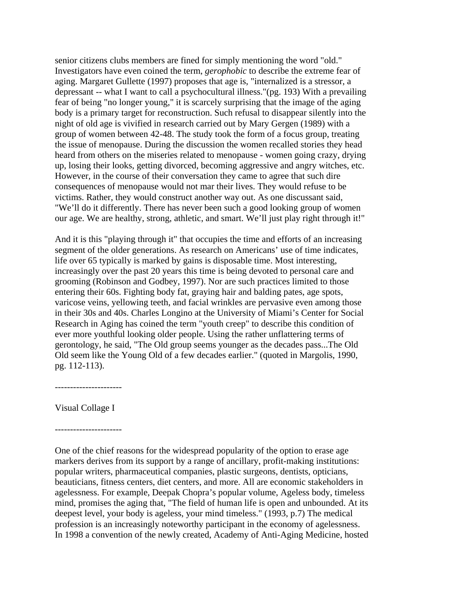senior citizens clubs members are fined for simply mentioning the word "old." Investigators have even coined the term, *gerophobic* to describe the extreme fear of aging. Margaret Gullette (1997) proposes that age is, "internalized is a stressor, a depressant -- what I want to call a psychocultural illness."(pg. 193) With a prevailing fear of being "no longer young," it is scarcely surprising that the image of the aging body is a primary target for reconstruction. Such refusal to disappear silently into the night of old age is vivified in research carried out by Mary Gergen (1989) with a group of women between 42-48. The study took the form of a focus group, treating the issue of menopause. During the discussion the women recalled stories they head heard from others on the miseries related to menopause - women going crazy, drying up, losing their looks, getting divorced, becoming aggressive and angry witches, etc. However, in the course of their conversation they came to agree that such dire consequences of menopause would not mar their lives. They would refuse to be victims. Rather, they would construct another way out. As one discussant said, "We'll do it differently. There has never been such a good looking group of women our age. We are healthy, strong, athletic, and smart. We'll just play right through it!"

And it is this "playing through it" that occupies the time and efforts of an increasing segment of the older generations. As research on Americans' use of time indicates, life over 65 typically is marked by gains is disposable time. Most interesting, increasingly over the past 20 years this time is being devoted to personal care and grooming (Robinson and Godbey, 1997). Nor are such practices limited to those entering their 60s. Fighting body fat, graying hair and balding pates, age spots, varicose veins, yellowing teeth, and facial wrinkles are pervasive even among those in their 30s and 40s. Charles Longino at the University of Miami's Center for Social Research in Aging has coined the term "youth creep" to describe this condition of ever more youthful looking older people. Using the rather unflattering terms of gerontology, he said, "The Old group seems younger as the decades pass...The Old Old seem like the Young Old of a few decades earlier." (quoted in Margolis, 1990, pg. 112-113).

----------------------

Visual Collage I

----------------------

One of the chief reasons for the widespread popularity of the option to erase age markers derives from its support by a range of ancillary, profit-making institutions: popular writers, pharmaceutical companies, plastic surgeons, dentists, opticians, beauticians, fitness centers, diet centers, and more. All are economic stakeholders in agelessness. For example, Deepak Chopra's popular volume, Ageless body, timeless mind, promises the aging that, "The field of human life is open and unbounded. At its deepest level, your body is ageless, your mind timeless." (1993, p.7) The medical profession is an increasingly noteworthy participant in the economy of agelessness. In 1998 a convention of the newly created, Academy of Anti-Aging Medicine, hosted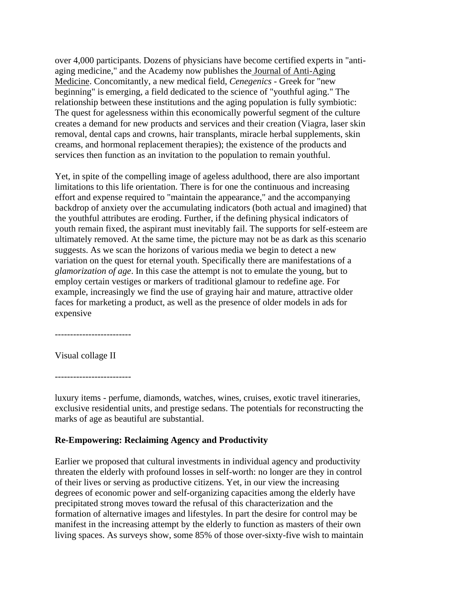over 4,000 participants. Dozens of physicians have become certified experts in "antiaging medicine," and the Academy now publishes the Journal of Anti-Aging Medicine. Concomitantly, a new medical field, *Cenegenics* - Greek for "new beginning" is emerging, a field dedicated to the science of "youthful aging." The relationship between these institutions and the aging population is fully symbiotic: The quest for agelessness within this economically powerful segment of the culture creates a demand for new products and services and their creation (Viagra, laser skin removal, dental caps and crowns, hair transplants, miracle herbal supplements, skin creams, and hormonal replacement therapies); the existence of the products and services then function as an invitation to the population to remain youthful.

Yet, in spite of the compelling image of ageless adulthood, there are also important limitations to this life orientation. There is for one the continuous and increasing effort and expense required to "maintain the appearance," and the accompanying backdrop of anxiety over the accumulating indicators (both actual and imagined) that the youthful attributes are eroding. Further, if the defining physical indicators of youth remain fixed, the aspirant must inevitably fail. The supports for self-esteem are ultimately removed. At the same time, the picture may not be as dark as this scenario suggests. As we scan the horizons of various media we begin to detect a new variation on the quest for eternal youth. Specifically there are manifestations of a *glamorization of age*. In this case the attempt is not to emulate the young, but to employ certain vestiges or markers of traditional glamour to redefine age. For example, increasingly we find the use of graying hair and mature, attractive older faces for marketing a product, as well as the presence of older models in ads for expensive

-------------------------

Visual collage II

-------------------------

luxury items - perfume, diamonds, watches, wines, cruises, exotic travel itineraries, exclusive residential units, and prestige sedans. The potentials for reconstructing the marks of age as beautiful are substantial.

#### **Re-Empowering: Reclaiming Agency and Productivity**

Earlier we proposed that cultural investments in individual agency and productivity threaten the elderly with profound losses in self-worth: no longer are they in control of their lives or serving as productive citizens. Yet, in our view the increasing degrees of economic power and self-organizing capacities among the elderly have precipitated strong moves toward the refusal of this characterization and the formation of alternative images and lifestyles. In part the desire for control may be manifest in the increasing attempt by the elderly to function as masters of their own living spaces. As surveys show, some 85% of those over-sixty-five wish to maintain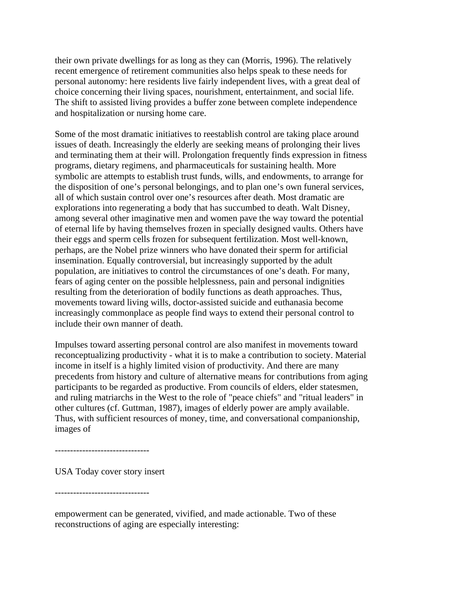their own private dwellings for as long as they can (Morris, 1996). The relatively recent emergence of retirement communities also helps speak to these needs for personal autonomy: here residents live fairly independent lives, with a great deal of choice concerning their living spaces, nourishment, entertainment, and social life. The shift to assisted living provides a buffer zone between complete independence and hospitalization or nursing home care.

Some of the most dramatic initiatives to reestablish control are taking place around issues of death. Increasingly the elderly are seeking means of prolonging their lives and terminating them at their will. Prolongation frequently finds expression in fitness programs, dietary regimens, and pharmaceuticals for sustaining health. More symbolic are attempts to establish trust funds, wills, and endowments, to arrange for the disposition of one's personal belongings, and to plan one's own funeral services, all of which sustain control over one's resources after death. Most dramatic are explorations into regenerating a body that has succumbed to death. Walt Disney, among several other imaginative men and women pave the way toward the potential of eternal life by having themselves frozen in specially designed vaults. Others have their eggs and sperm cells frozen for subsequent fertilization. Most well-known, perhaps, are the Nobel prize winners who have donated their sperm for artificial insemination. Equally controversial, but increasingly supported by the adult population, are initiatives to control the circumstances of one's death. For many, fears of aging center on the possible helplessness, pain and personal indignities resulting from the deterioration of bodily functions as death approaches. Thus, movements toward living wills, doctor-assisted suicide and euthanasia become increasingly commonplace as people find ways to extend their personal control to include their own manner of death.

Impulses toward asserting personal control are also manifest in movements toward reconceptualizing productivity - what it is to make a contribution to society. Material income in itself is a highly limited vision of productivity. And there are many precedents from history and culture of alternative means for contributions from aging participants to be regarded as productive. From councils of elders, elder statesmen, and ruling matriarchs in the West to the role of "peace chiefs" and "ritual leaders" in other cultures (cf. Guttman, 1987), images of elderly power are amply available. Thus, with sufficient resources of money, time, and conversational companionship, images of

USA Today cover story insert

-------------------------------

empowerment can be generated, vivified, and made actionable. Two of these reconstructions of aging are especially interesting: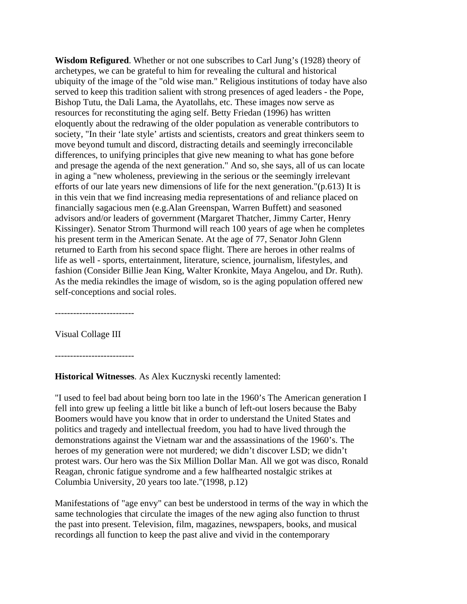**Wisdom Refigured**. Whether or not one subscribes to Carl Jung's (1928) theory of archetypes, we can be grateful to him for revealing the cultural and historical ubiquity of the image of the "old wise man." Religious institutions of today have also served to keep this tradition salient with strong presences of aged leaders - the Pope, Bishop Tutu, the Dali Lama, the Ayatollahs, etc. These images now serve as resources for reconstituting the aging self. Betty Friedan (1996) has written eloquently about the redrawing of the older population as venerable contributors to society, "In their 'late style' artists and scientists, creators and great thinkers seem to move beyond tumult and discord, distracting details and seemingly irreconcilable differences, to unifying principles that give new meaning to what has gone before and presage the agenda of the next generation." And so, she says, all of us can locate in aging a "new wholeness, previewing in the serious or the seemingly irrelevant efforts of our late years new dimensions of life for the next generation."(p.613) It is in this vein that we find increasing media representations of and reliance placed on financially sagacious men (e.g.Alan Greenspan, Warren Buffett) and seasoned advisors and/or leaders of government (Margaret Thatcher, Jimmy Carter, Henry Kissinger). Senator Strom Thurmond will reach 100 years of age when he completes his present term in the American Senate. At the age of 77, Senator John Glenn returned to Earth from his second space flight. There are heroes in other realms of life as well - sports, entertainment, literature, science, journalism, lifestyles, and fashion (Consider Billie Jean King, Walter Kronkite, Maya Angelou, and Dr. Ruth). As the media rekindles the image of wisdom, so is the aging population offered new self-conceptions and social roles.

--------------------------

Visual Collage III

--------------------------

**Historical Witnesses**. As Alex Kucznyski recently lamented:

"I used to feel bad about being born too late in the 1960's The American generation I fell into grew up feeling a little bit like a bunch of left-out losers because the Baby Boomers would have you know that in order to understand the United States and politics and tragedy and intellectual freedom, you had to have lived through the demonstrations against the Vietnam war and the assassinations of the 1960's. The heroes of my generation were not murdered; we didn't discover LSD; we didn't protest wars. Our hero was the Six Million Dollar Man. All we got was disco, Ronald Reagan, chronic fatigue syndrome and a few halfhearted nostalgic strikes at Columbia University, 20 years too late."(1998, p.12)

Manifestations of "age envy" can best be understood in terms of the way in which the same technologies that circulate the images of the new aging also function to thrust the past into present. Television, film, magazines, newspapers, books, and musical recordings all function to keep the past alive and vivid in the contemporary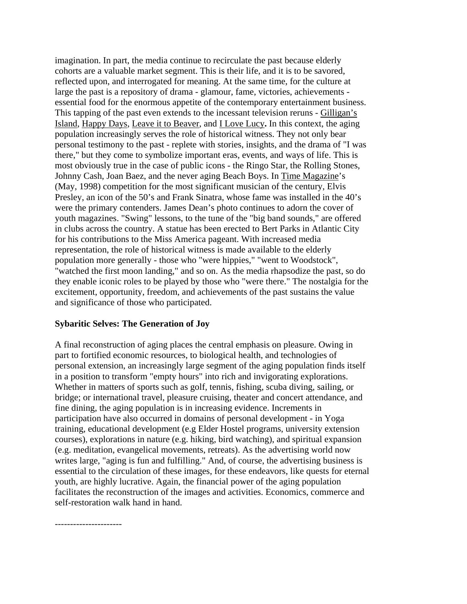imagination. In part, the media continue to recirculate the past because elderly cohorts are a valuable market segment. This is their life, and it is to be savored, reflected upon, and interrogated for meaning. At the same time, for the culture at large the past is a repository of drama - glamour, fame, victories, achievements essential food for the enormous appetite of the contemporary entertainment business. This tapping of the past even extends to the incessant television reruns - Gilligan's Island, Happy Days, Leave it to Beaver, and I Love Lucy**.** In this context, the aging population increasingly serves the role of historical witness. They not only bear personal testimony to the past - replete with stories, insights, and the drama of "I was there," but they come to symbolize important eras, events, and ways of life. This is most obviously true in the case of public icons - the Ringo Star, the Rolling Stones, Johnny Cash, Joan Baez, and the never aging Beach Boys. In Time Magazine's (May, 1998) competition for the most significant musician of the century, Elvis Presley, an icon of the 50's and Frank Sinatra, whose fame was installed in the 40's were the primary contenders. James Dean's photo continues to adorn the cover of youth magazines. "Swing" lessons, to the tune of the "big band sounds," are offered in clubs across the country. A statue has been erected to Bert Parks in Atlantic City for his contributions to the Miss America pageant. With increased media representation, the role of historical witness is made available to the elderly population more generally - those who "were hippies," "went to Woodstock", "watched the first moon landing," and so on. As the media rhapsodize the past, so do they enable iconic roles to be played by those who "were there." The nostalgia for the excitement, opportunity, freedom, and achievements of the past sustains the value and significance of those who participated.

# **Sybaritic Selves: The Generation of Joy**

A final reconstruction of aging places the central emphasis on pleasure. Owing in part to fortified economic resources, to biological health, and technologies of personal extension, an increasingly large segment of the aging population finds itself in a position to transform "empty hours" into rich and invigorating explorations. Whether in matters of sports such as golf, tennis, fishing, scuba diving, sailing, or bridge; or international travel, pleasure cruising, theater and concert attendance, and fine dining, the aging population is in increasing evidence. Increments in participation have also occurred in domains of personal development - in Yoga training, educational development (e.g Elder Hostel programs, university extension courses), explorations in nature (e.g. hiking, bird watching), and spiritual expansion (e.g. meditation, evangelical movements, retreats). As the advertising world now writes large, "aging is fun and fulfilling." And, of course, the advertising business is essential to the circulation of these images, for these endeavors, like quests for eternal youth, are highly lucrative. Again, the financial power of the aging population facilitates the reconstruction of the images and activities. Economics, commerce and self-restoration walk hand in hand.

----------------------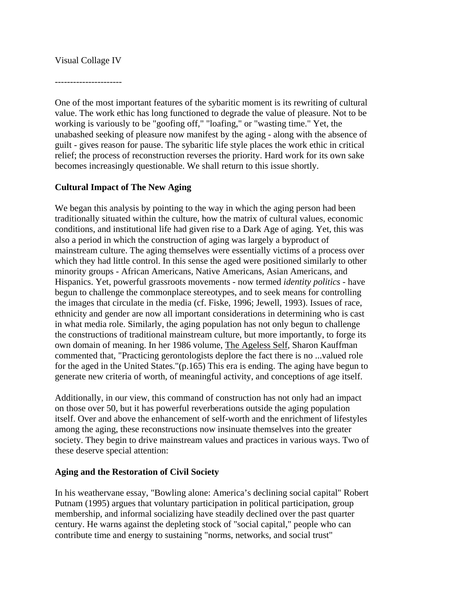# Visual Collage IV

----------------------

One of the most important features of the sybaritic moment is its rewriting of cultural value. The work ethic has long functioned to degrade the value of pleasure. Not to be working is variously to be "goofing off," "loafing," or "wasting time." Yet, the unabashed seeking of pleasure now manifest by the aging - along with the absence of guilt - gives reason for pause. The sybaritic life style places the work ethic in critical relief; the process of reconstruction reverses the priority. Hard work for its own sake becomes increasingly questionable. We shall return to this issue shortly.

# **Cultural Impact of The New Aging**

We began this analysis by pointing to the way in which the aging person had been traditionally situated within the culture, how the matrix of cultural values, economic conditions, and institutional life had given rise to a Dark Age of aging. Yet, this was also a period in which the construction of aging was largely a byproduct of mainstream culture. The aging themselves were essentially victims of a process over which they had little control. In this sense the aged were positioned similarly to other minority groups - African Americans, Native Americans, Asian Americans, and Hispanics. Yet, powerful grassroots movements - now termed *identity politics* - have begun to challenge the commonplace stereotypes, and to seek means for controlling the images that circulate in the media (cf. Fiske, 1996; Jewell, 1993). Issues of race, ethnicity and gender are now all important considerations in determining who is cast in what media role. Similarly, the aging population has not only begun to challenge the constructions of traditional mainstream culture, but more importantly, to forge its own domain of meaning. In her 1986 volume, The Ageless Self, Sharon Kauffman commented that, "Practicing gerontologists deplore the fact there is no ...valued role for the aged in the United States."(p.165) This era is ending. The aging have begun to generate new criteria of worth, of meaningful activity, and conceptions of age itself.

Additionally, in our view, this command of construction has not only had an impact on those over 50, but it has powerful reverberations outside the aging population itself. Over and above the enhancement of self-worth and the enrichment of lifestyles among the aging, these reconstructions now insinuate themselves into the greater society. They begin to drive mainstream values and practices in various ways. Two of these deserve special attention:

# **Aging and the Restoration of Civil Society**

In his weathervane essay, "Bowling alone: America's declining social capital" Robert Putnam (1995) argues that voluntary participation in political participation, group membership, and informal socializing have steadily declined over the past quarter century. He warns against the depleting stock of "social capital," people who can contribute time and energy to sustaining "norms, networks, and social trust"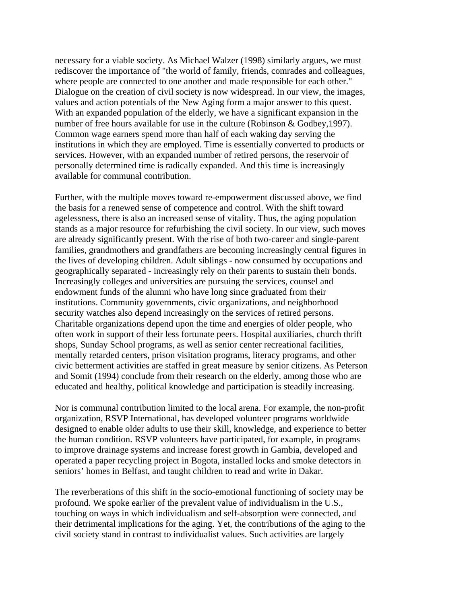necessary for a viable society. As Michael Walzer (1998) similarly argues, we must rediscover the importance of "the world of family, friends, comrades and colleagues, where people are connected to one another and made responsible for each other." Dialogue on the creation of civil society is now widespread. In our view, the images, values and action potentials of the New Aging form a major answer to this quest. With an expanded population of the elderly, we have a significant expansion in the number of free hours available for use in the culture (Robinson & Godbey,1997). Common wage earners spend more than half of each waking day serving the institutions in which they are employed. Time is essentially converted to products or services. However, with an expanded number of retired persons, the reservoir of personally determined time is radically expanded. And this time is increasingly available for communal contribution.

Further, with the multiple moves toward re-empowerment discussed above, we find the basis for a renewed sense of competence and control. With the shift toward agelessness, there is also an increased sense of vitality. Thus, the aging population stands as a major resource for refurbishing the civil society. In our view, such moves are already significantly present. With the rise of both two-career and single-parent families, grandmothers and grandfathers are becoming increasingly central figures in the lives of developing children. Adult siblings - now consumed by occupations and geographically separated - increasingly rely on their parents to sustain their bonds. Increasingly colleges and universities are pursuing the services, counsel and endowment funds of the alumni who have long since graduated from their institutions. Community governments, civic organizations, and neighborhood security watches also depend increasingly on the services of retired persons. Charitable organizations depend upon the time and energies of older people, who often work in support of their less fortunate peers. Hospital auxiliaries, church thrift shops, Sunday School programs, as well as senior center recreational facilities, mentally retarded centers, prison visitation programs, literacy programs, and other civic betterment activities are staffed in great measure by senior citizens. As Peterson and Somit (1994) conclude from their research on the elderly, among those who are educated and healthy, political knowledge and participation is steadily increasing.

Nor is communal contribution limited to the local arena. For example, the non-profit organization, RSVP International, has developed volunteer programs worldwide designed to enable older adults to use their skill, knowledge, and experience to better the human condition. RSVP volunteers have participated, for example, in programs to improve drainage systems and increase forest growth in Gambia, developed and operated a paper recycling project in Bogota, installed locks and smoke detectors in seniors' homes in Belfast, and taught children to read and write in Dakar.

The reverberations of this shift in the socio-emotional functioning of society may be profound. We spoke earlier of the prevalent value of individualism in the U.S., touching on ways in which individualism and self-absorption were connected, and their detrimental implications for the aging. Yet, the contributions of the aging to the civil society stand in contrast to individualist values. Such activities are largely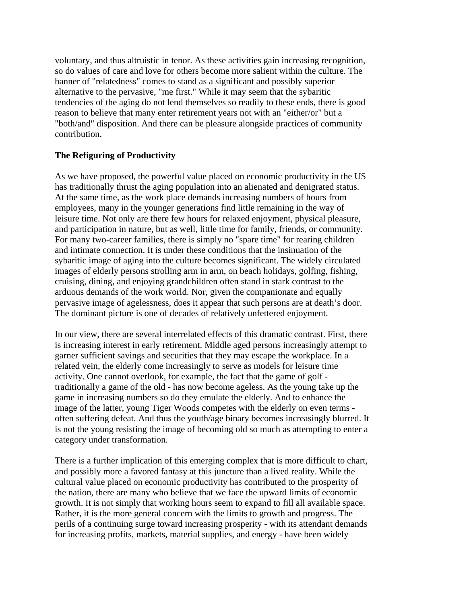voluntary, and thus altruistic in tenor. As these activities gain increasing recognition, so do values of care and love for others become more salient within the culture. The banner of "relatedness" comes to stand as a significant and possibly superior alternative to the pervasive, "me first." While it may seem that the sybaritic tendencies of the aging do not lend themselves so readily to these ends, there is good reason to believe that many enter retirement years not with an "either/or" but a "both/and" disposition. And there can be pleasure alongside practices of community contribution.

# **The Refiguring of Productivity**

As we have proposed, the powerful value placed on economic productivity in the US has traditionally thrust the aging population into an alienated and denigrated status. At the same time, as the work place demands increasing numbers of hours from employees, many in the younger generations find little remaining in the way of leisure time. Not only are there few hours for relaxed enjoyment, physical pleasure, and participation in nature, but as well, little time for family, friends, or community. For many two-career families, there is simply no "spare time" for rearing children and intimate connection. It is under these conditions that the insinuation of the sybaritic image of aging into the culture becomes significant. The widely circulated images of elderly persons strolling arm in arm, on beach holidays, golfing, fishing, cruising, dining, and enjoying grandchildren often stand in stark contrast to the arduous demands of the work world. Nor, given the companionate and equally pervasive image of agelessness, does it appear that such persons are at death's door. The dominant picture is one of decades of relatively unfettered enjoyment.

In our view, there are several interrelated effects of this dramatic contrast. First, there is increasing interest in early retirement. Middle aged persons increasingly attempt to garner sufficient savings and securities that they may escape the workplace. In a related vein, the elderly come increasingly to serve as models for leisure time activity. One cannot overlook, for example, the fact that the game of golf traditionally a game of the old - has now become ageless. As the young take up the game in increasing numbers so do they emulate the elderly. And to enhance the image of the latter, young Tiger Woods competes with the elderly on even terms often suffering defeat. And thus the youth/age binary becomes increasingly blurred. It is not the young resisting the image of becoming old so much as attempting to enter a category under transformation.

There is a further implication of this emerging complex that is more difficult to chart, and possibly more a favored fantasy at this juncture than a lived reality. While the cultural value placed on economic productivity has contributed to the prosperity of the nation, there are many who believe that we face the upward limits of economic growth. It is not simply that working hours seem to expand to fill all available space. Rather, it is the more general concern with the limits to growth and progress. The perils of a continuing surge toward increasing prosperity - with its attendant demands for increasing profits, markets, material supplies, and energy - have been widely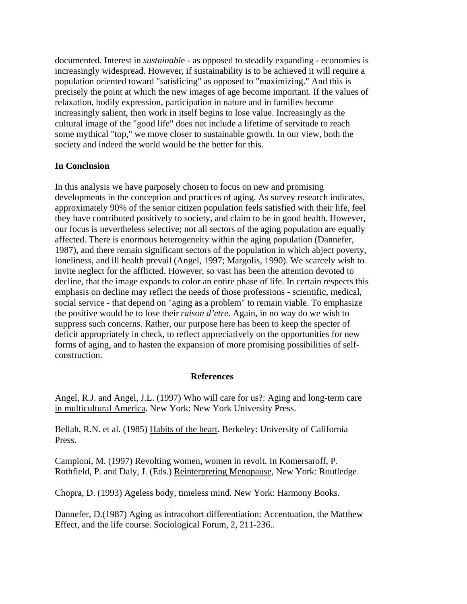documented. Interest in *sustainabl*e - as opposed to steadily expanding - economies is increasingly widespread. However, if sustainability is to be achieved it will require a population oriented toward "satisficing" as opposed to "maximizing." And this is precisely the point at which the new images of age become important. If the values of relaxation, bodily expression, participation in nature and in families become increasingly salient, then work in itself begins to lose value. Increasingly as the cultural image of the "good life" does not include a lifetime of servitude to reach some mythical "top," we move closer to sustainable growth. In our view, both the society and indeed the world would be the better for this.

# **In Conclusion**

In this analysis we have purposely chosen to focus on new and promising developments in the conception and practices of aging. As survey research indicates, approximately 90% of the senior citizen population feels satisfied with their life, feel they have contributed positively to society, and claim to be in good health. However, our focus is nevertheless selective; not all sectors of the aging population are equally affected. There is enormous heterogeneity within the aging population (Dannefer, 1987), and there remain significant sectors of the population in which abject poverty, loneliness, and ill health prevail (Angel, 1997; Margolis, 1990). We scarcely wish to invite neglect for the afflicted. However, so vast has been the attention devoted to decline, that the image expands to color an entire phase of life. In certain respects this emphasis on decline may reflect the needs of those professions - scientific, medical, social service - that depend on "aging as a problem" to remain viable. To emphasize the positive would be to lose their *raison d'etre*. Again, in no way do we wish to suppress such concerns. Rather, our purpose here has been to keep the specter of deficit appropriately in check, to reflect appreciatively on the opportunities for new forms of aging, and to hasten the expansion of more promising possibilities of selfconstruction.

# **References**

Angel, R.J. and Angel, J.L. (1997) Who will care for us?: Aging and long-term care in multicultural America. New York: New York University Press.

Bellah, R.N. et al. (1985) Habits of the heart. Berkeley: University of California Press.

Campioni, M. (1997) Revolting women, women in revolt. In Komersaroff, P. Rothfield, P. and Daly, J. (Eds.) Reinterpreting Menopause, New York: Routledge.

Chopra, D. (1993) Ageless body, timeless mind. New York: Harmony Books.

Dannefer, D.(1987) Aging as intracohort differentiation: Accentuation, the Matthew Effect, and the life course. Sociological Forum, 2, 211-236..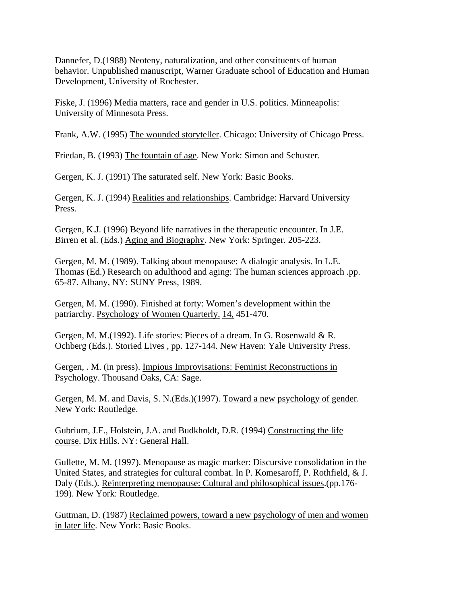Dannefer, D.(1988) Neoteny, naturalization, and other constituents of human behavior. Unpublished manuscript, Warner Graduate school of Education and Human Development, University of Rochester.

Fiske, J. (1996) Media matters, race and gender in U.S. politics. Minneapolis: University of Minnesota Press.

Frank, A.W. (1995) The wounded storyteller. Chicago: University of Chicago Press.

Friedan, B. (1993) The fountain of age. New York: Simon and Schuster.

Gergen, K. J. (1991) The saturated self. New York: Basic Books.

Gergen, K. J. (1994) Realities and relationships. Cambridge: Harvard University Press.

Gergen, K.J. (1996) Beyond life narratives in the therapeutic encounter. In J.E. Birren et al. (Eds.) Aging and Biography. New York: Springer. 205-223.

Gergen, M. M. (1989). Talking about menopause: A dialogic analysis. In L.E. Thomas (Ed.) Research on adulthood and aging: The human sciences approach .pp. 65-87. Albany, NY: SUNY Press, 1989.

Gergen, M. M. (1990). Finished at forty: Women's development within the patriarchy. Psychology of Women Quarterly. 14, 451-470.

Gergen, M. M.(1992). Life stories: Pieces of a dream. In G. Rosenwald & R. Ochberg (Eds.). Storied Lives , pp. 127-144. New Haven: Yale University Press.

Gergen, . M. (in press). Impious Improvisations: Feminist Reconstructions in Psychology. Thousand Oaks, CA: Sage.

Gergen, M. M. and Davis, S. N.(Eds.)(1997). Toward a new psychology of gender. New York: Routledge.

Gubrium, J.F., Holstein, J.A. and Budkholdt, D.R. (1994) Constructing the life course. Dix Hills. NY: General Hall.

Gullette, M. M. (1997). Menopause as magic marker: Discursive consolidation in the United States, and strategies for cultural combat. In P. Komesaroff, P. Rothfield, & J. Daly (Eds.). Reinterpreting menopause: Cultural and philosophical issues.(pp.176- 199). New York: Routledge.

Guttman, D. (1987) Reclaimed powers, toward a new psychology of men and women in later life. New York: Basic Books.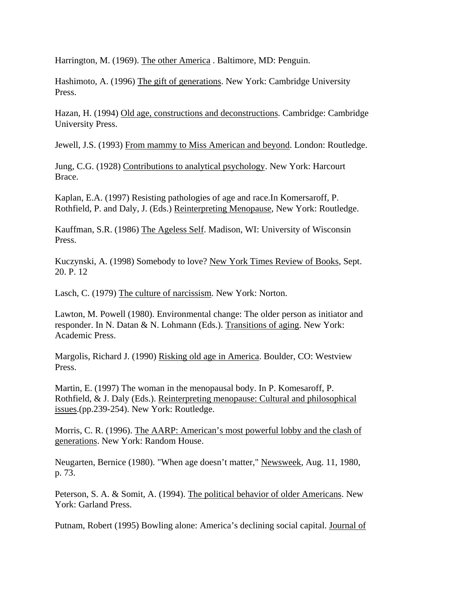Harrington, M. (1969). The other America . Baltimore, MD: Penguin.

Hashimoto, A. (1996) The gift of generations. New York: Cambridge University Press.

Hazan, H. (1994) Old age, constructions and deconstructions. Cambridge: Cambridge University Press.

Jewell, J.S. (1993) From mammy to Miss American and beyond. London: Routledge.

Jung, C.G. (1928) Contributions to analytical psychology. New York: Harcourt Brace.

Kaplan, E.A. (1997) Resisting pathologies of age and race.In Komersaroff, P. Rothfield, P. and Daly, J. (Eds.) Reinterpreting Menopause, New York: Routledge.

Kauffman, S.R. (1986) The Ageless Self. Madison, WI: University of Wisconsin Press.

Kuczynski, A. (1998) Somebody to love? New York Times Review of Books, Sept. 20. P. 12

Lasch, C. (1979) The culture of narcissism. New York: Norton.

Lawton, M. Powell (1980). Environmental change: The older person as initiator and responder. In N. Datan & N. Lohmann (Eds.). Transitions of aging. New York: Academic Press.

Margolis, Richard J. (1990) Risking old age in America. Boulder, CO: Westview Press.

Martin, E. (1997) The woman in the menopausal body. In P. Komesaroff, P. Rothfield, & J. Daly (Eds.). Reinterpreting menopause: Cultural and philosophical issues.(pp.239-254). New York: Routledge.

Morris, C. R. (1996). The AARP: American's most powerful lobby and the clash of generations. New York: Random House.

Neugarten, Bernice (1980). "When age doesn't matter," Newsweek, Aug. 11, 1980, p. 73.

Peterson, S. A. & Somit, A. (1994). The political behavior of older Americans. New York: Garland Press.

Putnam, Robert (1995) Bowling alone: America's declining social capital. Journal of